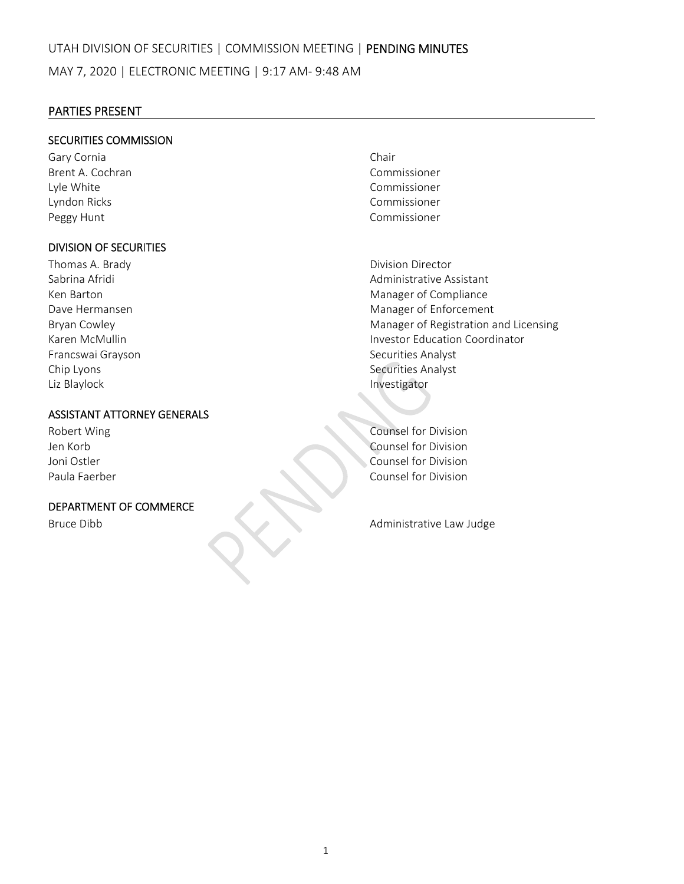## PARTIES PRESENT

## SECURITIES COMMISSION

Gary Cornia **Chair** Chair Brent A. Cochran Commissioner Lyle White Commissioner Lyndon Ricks Commissioner Peggy Hunt **Commissioner Peggy Hunt** 

## DIVISION OF SECURITIES

Thomas A. Brady **Brandy Example 2018 Division Director** Francswai Grayson Securities Analyst Chip Lyons 
Securities Analyst Liz Blaylock **Contract Contract Contract Contract Contract Contract Contract Contract Contract Contract Contract Contract Contract Contract Contract Contract Contract Contract Contract Contract Contract Contract Contract C** 

## ASSISTANT ATTORNEY GENERALS

## DEPARTMENT OF COMMERCE

Sabrina Afridi Administrative Assistant Ken Barton **Manager of Compliance** Dave Hermansen **International Contract Contract Contract Contract Contract Contract Contract Contract Contract Contract Contract Contract Contract Contract Contract Contract Contract Contract Contract Contract Contract Con** Bryan Cowley **Manager of Registration and Licensing Manager of Registration and Licensing** Karen McMullin Investor Education Coordinator

Robert Wing Counsel for Division Jen Korb Counsel for Division Joni Ostler Counsel for Division Paula Faerber Counsel for Division

Bruce Dibb **Bruce Dibb and Administrative Law Judge**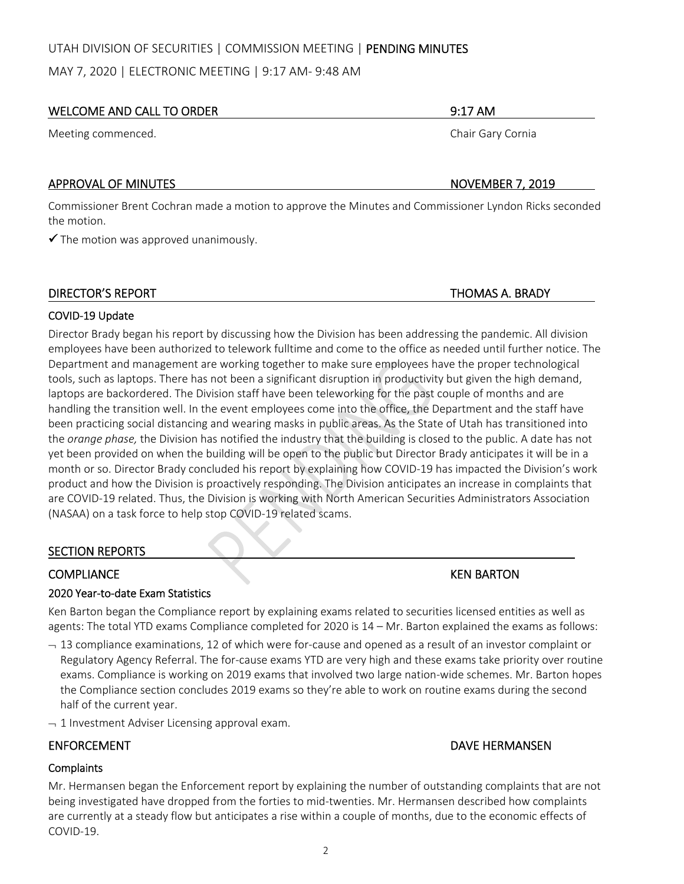## UTAH DIVISION OF SECURITIES | COMMISSION MEETING | PENDING MINUTES

MAY 7, 2020 | ELECTRONIC MEETING | 9:17 AM‐ 9:48 AM

## WELCOME AND CALL TO ORDER **1999 THE SERVICE OF A SERVICE AND SERVICE OF A SERVICE OF A SERVICE OF A SERVICE OF A**

Meeting commenced. The state of the state of the state of the state of the Shair Gary Cornia

## APPROVAL OF MINUTES **BUT A RELATIVE STATES AND A RELATIVE STATES AND RELATIVE STATES AND RELATIVE STATES AND RELATIVE STATES AND RELATIVE STATES AND RELATIVE STATES AND RELATIVE STATES AND RELATIVE STATES AND RELATIVE STAT**

Commissioner Brent Cochran made a motion to approve the Minutes and Commissioner Lyndon Ricks seconded the motion.

 $\checkmark$  The motion was approved unanimously.

## DIRECTOR'S REPORT THOMAS A. BRADY

## COVID‐19 Update

Director Brady began his report by discussing how the Division has been addressing the pandemic. All division employees have been authorized to telework fulltime and come to the office as needed until further notice. The Department and management are working together to make sure employees have the proper technological tools, such as laptops. There has not been a significant disruption in productivity but given the high demand, laptops are backordered. The Division staff have been teleworking for the past couple of months and are handling the transition well. In the event employees come into the office, the Department and the staff have been practicing social distancing and wearing masks in public areas. As the State of Utah has transitioned into the *orange phase,* the Division has notified the industry that the building is closed to the public. A date has not yet been provided on when the building will be open to the public but Director Brady anticipates it will be in a month or so. Director Brady concluded his report by explaining how COVID‐19 has impacted the Division's work product and how the Division is proactively responding. The Division anticipates an increase in complaints that are COVID‐19 related. Thus, the Division is working with North American Securities Administrators Association (NASAA) on a task force to help stop COVID‐19 related scams.

## SECTION REPORTS

## COMPLIANCE KEN BARTON

## 2020 Year‐to‐date Exam Statistics

Ken Barton began the Compliance report by explaining exams related to securities licensed entities as well as agents: The total YTD exams Compliance completed for 2020 is 14 – Mr. Barton explained the exams as follows:

- $-13$  compliance examinations, 12 of which were for-cause and opened as a result of an investor complaint or Regulatory Agency Referral. The for‐cause exams YTD are very high and these exams take priority over routine exams. Compliance is working on 2019 exams that involved two large nation-wide schemes. Mr. Barton hopes the Compliance section concludes 2019 exams so they're able to work on routine exams during the second half of the current year.
- $-1$  Investment Adviser Licensing approval exam.

# ENFORCEMENT DAVE HERMANSEN

## **Complaints**

Mr. Hermansen began the Enforcement report by explaining the number of outstanding complaints that are not being investigated have dropped from the forties to mid-twenties. Mr. Hermansen described how complaints are currently at a steady flow but anticipates a rise within a couple of months, due to the economic effects of COVID‐19.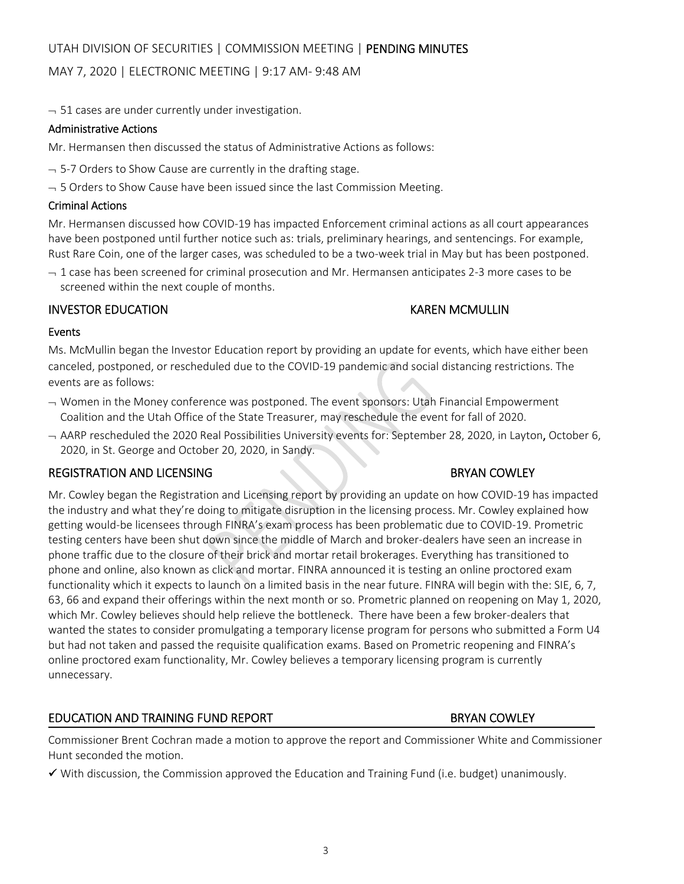# MAY 7, 2020 | ELECTRONIC MEETING | 9:17 AM‐ 9:48 AM

 $-51$  cases are under currently under investigation.

## Administrative Actions

Mr. Hermansen then discussed the status of Administrative Actions as follows:

- $-$  5-7 Orders to Show Cause are currently in the drafting stage.
- $-$  5 Orders to Show Cause have been issued since the last Commission Meeting.

# Criminal Actions

Mr. Hermansen discussed how COVID‐19 has impacted Enforcement criminal actions as all court appearances have been postponed until further notice such as: trials, preliminary hearings, and sentencings. For example, Rust Rare Coin, one of the larger cases, was scheduled to be a two-week trial in May but has been postponed.

 $-1$  case has been screened for criminal prosecution and Mr. Hermansen anticipates 2-3 more cases to be screened within the next couple of months.

# INVESTOR EDUCATION KAREN MCMULLIN

# Events

Ms. McMullin began the Investor Education report by providing an update for events, which have either been canceled, postponed, or rescheduled due to the COVID‐19 pandemic and social distancing restrictions. The events are as follows:

- $\rightarrow$  Women in the Money conference was postponed. The event sponsors: Utah Financial Empowerment Coalition and the Utah Office of the State Treasurer, may reschedule the event for fall of 2020.
- AARP rescheduled the 2020 Real Possibilities University events for: September 28, 2020, in Layton, October 6, 2020, in St. George and October 20, 2020, in Sandy.

# REGISTRATION AND LICENSING **BRYAN COWLEY**

Mr. Cowley began the Registration and Licensing report by providing an update on how COVID‐19 has impacted the industry and what they're doing to mitigate disruption in the licensing process. Mr. Cowley explained how getting would‐be licensees through FINRA's exam process has been problematic due to COVID‐19. Prometric testing centers have been shut down since the middle of March and broker-dealers have seen an increase in phone traffic due to the closure of their brick and mortar retail brokerages. Everything has transitioned to phone and online, also known as click and mortar. FINRA announced it is testing an online proctored exam functionality which it expects to launch on a limited basis in the near future. FINRA will begin with the: SIE, 6, 7, 63, 66 and expand their offerings within the next month or so. Prometric planned on reopening on May 1, 2020, which Mr. Cowley believes should help relieve the bottleneck. There have been a few broker‐dealers that wanted the states to consider promulgating a temporary license program for persons who submitted a Form U4 but had not taken and passed the requisite qualification exams. Based on Prometric reopening and FINRA's online proctored exam functionality, Mr. Cowley believes a temporary licensing program is currently unnecessary.

# EDUCATION AND TRAINING FUND REPORT **BRYAN COWLEY**

Commissioner Brent Cochran made a motion to approve the report and Commissioner White and Commissioner Hunt seconded the motion.

 $\checkmark$  With discussion, the Commission approved the Education and Training Fund (i.e. budget) unanimously.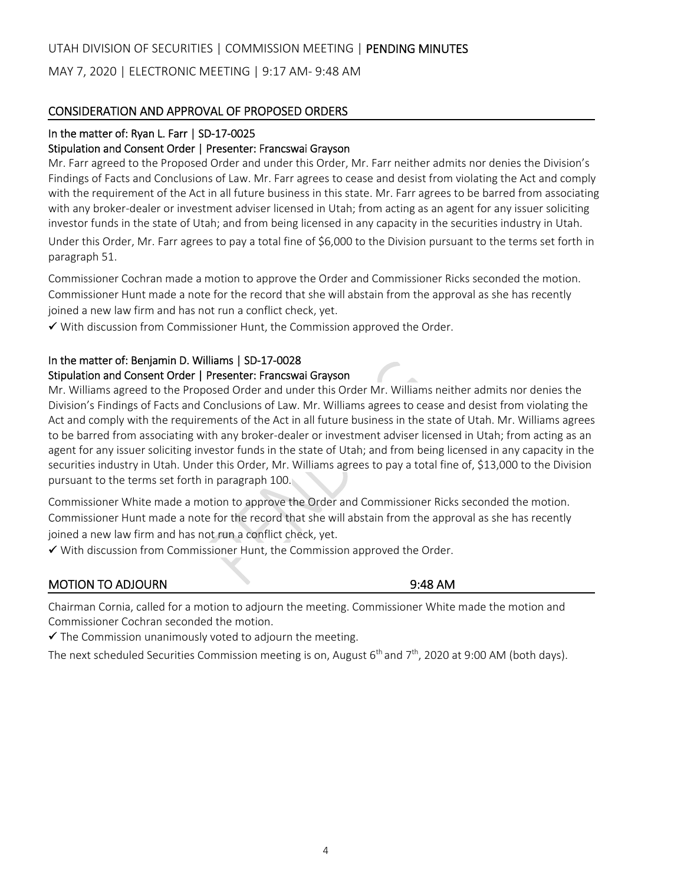## UTAH DIVISION OF SECURITIES | COMMISSION MEETING | PENDING MINUTES

MAY 7, 2020 | ELECTRONIC MEETING | 9:17 AM‐ 9:48 AM

## CONSIDERATION AND APPROVAL OF PROPOSED ORDERS

## In the matter of: Ryan L. Farr | SD-17-0025

### Stipulation and Consent Order | Presenter: Francswai Grayson

Mr. Farr agreed to the Proposed Order and under this Order, Mr. Farr neither admits nor denies the Division's Findings of Facts and Conclusions of Law. Mr. Farr agrees to cease and desist from violating the Act and comply with the requirement of the Act in all future business in this state. Mr. Farr agrees to be barred from associating with any broker-dealer or investment adviser licensed in Utah; from acting as an agent for any issuer soliciting investor funds in the state of Utah; and from being licensed in any capacity in the securities industry in Utah. Under this Order, Mr. Farr agrees to pay a total fine of \$6,000 to the Division pursuant to the terms set forth in paragraph 51.

Commissioner Cochran made a motion to approve the Order and Commissioner Ricks seconded the motion. Commissioner Hunt made a note for the record that she will abstain from the approval as she has recently joined a new law firm and has not run a conflict check, yet.

 $\checkmark$  With discussion from Commissioner Hunt, the Commission approved the Order.

## In the matter of: Benjamin D. Williams | SD‐17‐0028

## Stipulation and Consent Order | Presenter: Francswai Grayson

Mr. Williams agreed to the Proposed Order and under this Order Mr. Williams neither admits nor denies the Division's Findings of Facts and Conclusions of Law. Mr. Williams agrees to cease and desist from violating the Act and comply with the requirements of the Act in all future business in the state of Utah. Mr. Williams agrees to be barred from associating with any broker‐dealer or investment adviser licensed in Utah; from acting as an agent for any issuer soliciting investor funds in the state of Utah; and from being licensed in any capacity in the securities industry in Utah. Under this Order, Mr. Williams agrees to pay a total fine of, \$13,000 to the Division pursuant to the terms set forth in paragraph 100.

Commissioner White made a motion to approve the Order and Commissioner Ricks seconded the motion. Commissioner Hunt made a note for the record that she will abstain from the approval as she has recently joined a new law firm and has not run a conflict check, yet.

 $\checkmark$  With discussion from Commissioner Hunt, the Commission approved the Order.

## MOTION TO ADJOURN **BUSIC CONTROLLER IN THE SECOND SET OF A SET OF A SET OF A SET OF A SET OF A SET OF A SET OF A SET OF A SET OF A SET OF A SET OF A SET OF A SET OF A SET OF A SET OF A SET OF A SET OF A SET OF A SET OF A S**

Chairman Cornia, called for a motion to adjourn the meeting. Commissioner White made the motion and Commissioner Cochran seconded the motion.

 $\checkmark$  The Commission unanimously voted to adjourn the meeting.

The next scheduled Securities Commission meeting is on, August 6<sup>th</sup> and 7<sup>th</sup>, 2020 at 9:00 AM (both days).